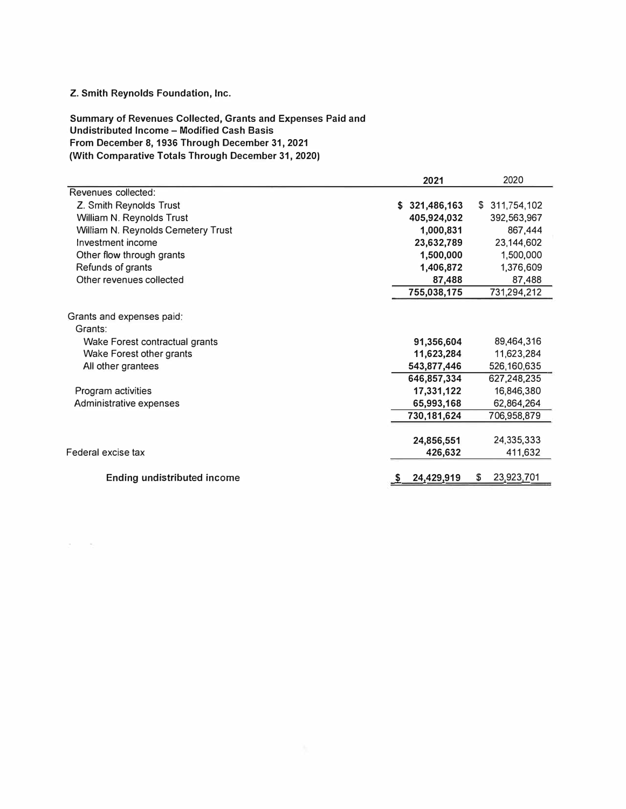## **Z. Smith Reynolds Foundation, Inc.**

 $\epsilon = 100$ 

**Summary of Revenues Collected, Grants and Expenses Paid and Undistributed Income - Modified Cash Basis From December 8, 1936 Through December 31, 2021 (With Comparative Totals Through December 31, 2020)** 

| Revenues collected:                                                    |                       |                       |
|------------------------------------------------------------------------|-----------------------|-----------------------|
|                                                                        |                       |                       |
| Z. Smith Reynolds Trust                                                | \$321,486,163         | \$311,754,102         |
| William N. Reynolds Trust                                              | 405,924,032           | 392,563,967           |
| William N. Reynolds Cemetery Trust                                     | 1,000,831             | 867,444               |
| Investment income                                                      | 23,632,789            | 23,144,602            |
| Other flow through grants                                              | 1,500,000             | 1,500,000             |
| Refunds of grants                                                      | 1,406,872             | 1,376,609             |
| Other revenues collected                                               | 87,488                | 87,488                |
|                                                                        | 755,038,175           | 731,294,212           |
| Grants and expenses paid:<br>Grants:<br>Wake Forest contractual grants | 91,356,604            | 89,464,316            |
| Wake Forest other grants                                               | 11,623,284            | 11,623,284            |
| All other grantees                                                     | 543,877,446           | 526,160,635           |
|                                                                        | 646,857,334           | 627,248,235           |
| Program activities                                                     | 17,331,122            | 16,846,380            |
| Administrative expenses                                                | 65,993,168            | 62,864,264            |
|                                                                        | 730,181,624           | 706,958,879           |
| Federal excise tax                                                     | 24,856,551<br>426,632 | 24,335,333<br>411,632 |
| <b>Ending undistributed income</b>                                     | 24,429,919            | 23,923,701<br>S       |